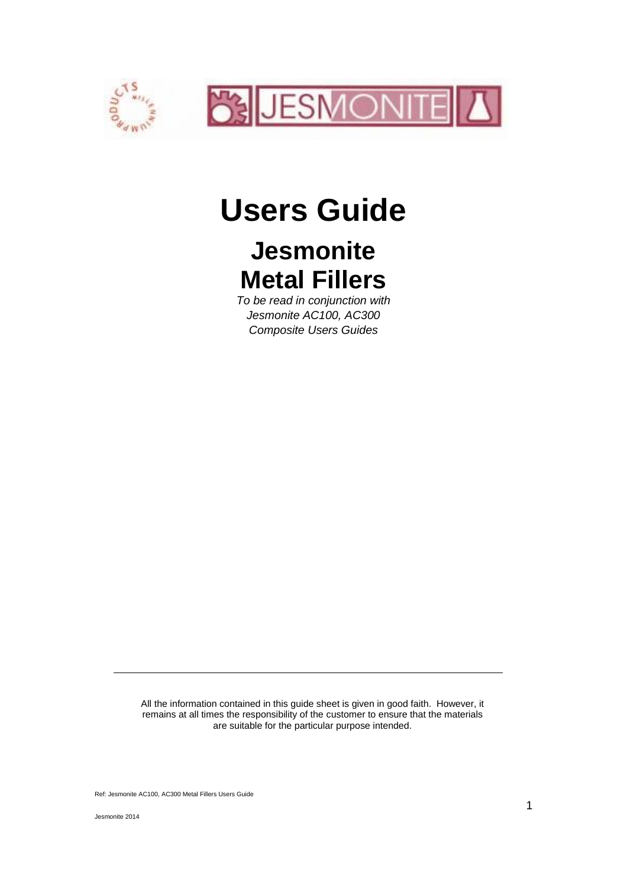

# **Users Guide**

## **Jesmonite Metal Fillers**

*To be read in conjunction with Jesmonite AC100, AC300 Composite Users Guides*

All the information contained in this guide sheet is given in good faith. However, it remains at all times the responsibility of the customer to ensure that the materials are suitable for the particular purpose intended.

Ref: Jesmonite AC100, AC300 Metal Fillers Users Guide

Jesmonite 2014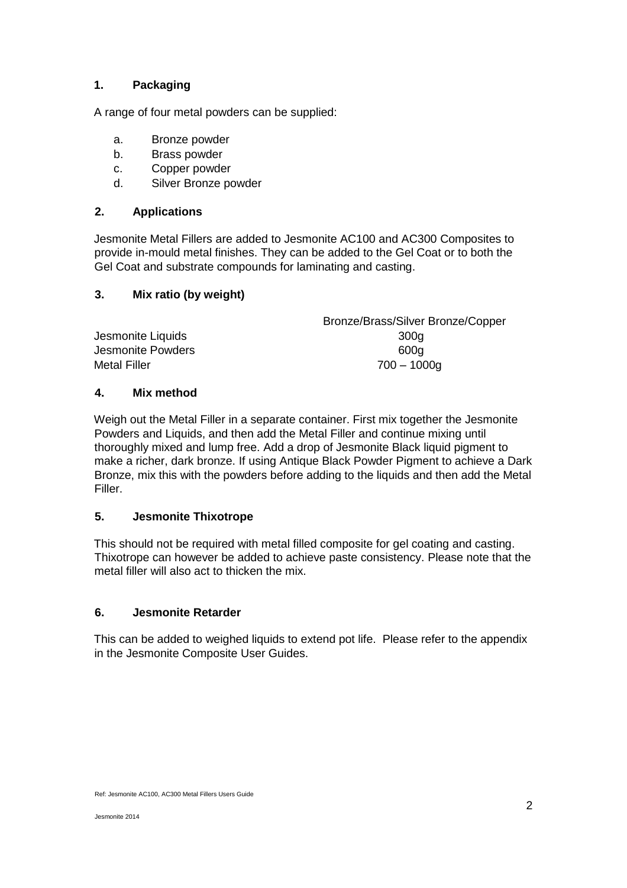### **1. Packaging**

A range of four metal powders can be supplied:

- a. Bronze powder
- b. Brass powder
- c. Copper powder
- d. Silver Bronze powder

### **2. Applications**

Jesmonite Metal Fillers are added to Jesmonite AC100 and AC300 Composites to provide in-mould metal finishes. They can be added to the Gel Coat or to both the Gel Coat and substrate compounds for laminating and casting.

### **3. Mix ratio (by weight)**

|                     | Bronze/Brass/Silver Bronze/Copper |
|---------------------|-----------------------------------|
| Jesmonite Liquids   | 300a                              |
| Jesmonite Powders   | 600a                              |
| <b>Metal Filler</b> | 700 – 1000a                       |

### **4. Mix method**

Weigh out the Metal Filler in a separate container. First mix together the Jesmonite Powders and Liquids, and then add the Metal Filler and continue mixing until thoroughly mixed and lump free. Add a drop of Jesmonite Black liquid pigment to make a richer, dark bronze. If using Antique Black Powder Pigment to achieve a Dark Bronze, mix this with the powders before adding to the liquids and then add the Metal Filler.

#### **5. Jesmonite Thixotrope**

This should not be required with metal filled composite for gel coating and casting. Thixotrope can however be added to achieve paste consistency. Please note that the metal filler will also act to thicken the mix.

#### **6. Jesmonite Retarder**

This can be added to weighed liquids to extend pot life. Please refer to the appendix in the Jesmonite Composite User Guides.